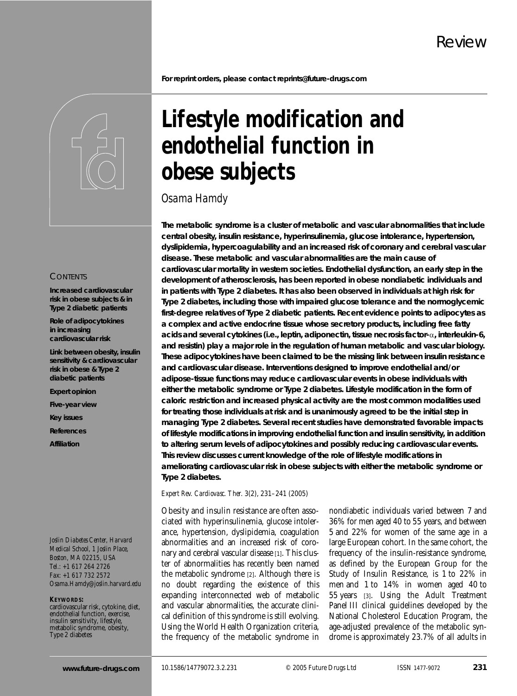**For reprint orders, please contact reprints@future-drugs.com**



#### **CONTENTS**

**Increased cardiovascular risk in obese subjects & in Type 2 diabetic patients**

**Role of adipocytokines in increasing cardiovascular risk**

**Link between obesity, insulin sensitivity & cardiovascular risk in obese & Type 2 diabetic patients**

**Expert opinion**

**Five-year view**

**Key issues**

**References**

**Affiliation**

#### *Joslin Diabetes Center, Harvard Medical School, 1 Joslin Place, Boston, MA 02215, USA Tel.: +1 617 264 2726 Fax: +1 617 732 2572 Osama.Hamdy@joslin.harvard.edu*

**KEYWORDS:** 

cardiovascular risk, cytokine, diet, endothelial function, exercise, insulin sensitivity, lifestyle, metabolic syndrome, obesity, Type 2 diabetes

# **Lifestyle modification and endothelial function in obese subjects**

# *Osama Hamdy*

**The metabolic syndrome is a cluster of metabolic and vascular abnormalities that include central obesity, insulin resistance, hyperinsulinemia, glucose intolerance, hypertension, dyslipidemia, hypercoagulability and an increased risk of coronary and cerebral vascular disease. These metabolic and vascular abnormalities are the main cause of cardiovascular mortality in western societies. Endothelial dysfunction, an early step in the development of atherosclerosis, has been reported in obese nondiabetic individuals and in patients with Type 2 diabetes. It has also been observed in individuals at high risk for Type 2 diabetes, including those with impaired glucose tolerance and the normoglycemic first-degree relatives of Type 2 diabetic patients. Recent evidence points to adipocytes as a complex and active endocrine tissue whose secretory products, including free fatty acids and several cytokines (i.e., leptin, adiponectin, tissue necrosis factor-**α**, interleukin-6, and resistin) play a major role in the regulation of human metabolic and vascular biology. These adipocytokines have been claimed to be the missing link between insulin resistance and cardiovascular disease. Interventions designed to improve endothelial and/or adipose-tissue functions may reduce cardiovascular events in obese individuals with either the metabolic syndrome or Type 2 diabetes. Lifestyle modification in the form of caloric restriction and increased physical activity are the most common modalities used for treating those individuals at risk and is unanimously agreed to be the initial step in managing Type 2 diabetes. Several recent studies have demonstrated favorable impacts of lifestyle modifications in improving endothelial function and insulin sensitivity, in addition to altering serum levels of adipocytokines and possibly reducing cardiovascular events. This review discusses current knowledge of the role of lifestyle modifications in ameliorating cardiovascular risk in obese subjects with either the metabolic syndrome or Type 2 diabetes.**

#### *Expert Rev. Cardiovasc. Ther.* 3(2), 231–241 (2005)

Obesity and insulin resistance are often associated with hyperinsulinemia, glucose intolerance, hypertension, dyslipidemia, coagulation abnormalities and an increased risk of coronary and cerebral vascular disease [1]. This cluster of abnormalities has recently been named the metabolic syndrome [2]. Although there is no doubt regarding the existence of this expanding interconnected web of metabolic and vascular abnormalities, the accurate clinical definition of this syndrome is still evolving. Using the World Health Organization criteria, the frequency of the metabolic syndrome in

nondiabetic individuals varied between 7 and 36% for men aged 40 to 55 years, and between 5 and 22% for women of the same age in a large European cohort. In the same cohort, the frequency of the insulin-resistance syndrome, as defined by the European Group for the Study of Insulin Resistance, is 1 to 22% in men and 1 to 14% in women aged 40 to 55 years [3]. Using the Adult Treatment Panel III clinical guidelines developed by the National Cholesterol Education Program, the age-adjusted prevalence of the metabolic syndrome is approximately 23.7% of all adults in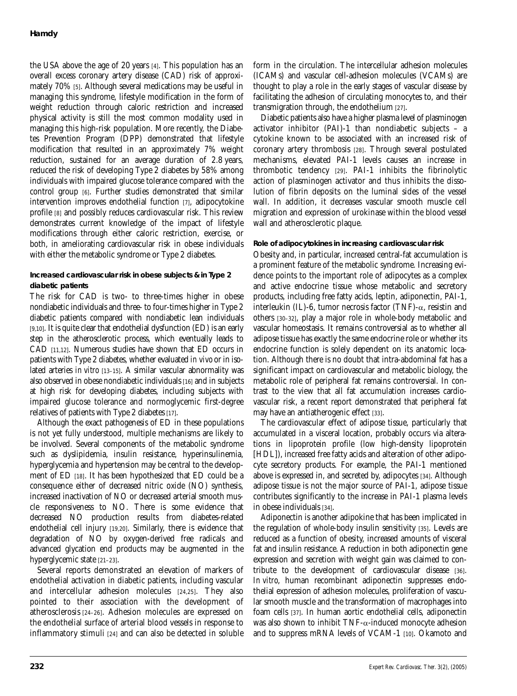the USA above the age of 20 years [4]. This population has an overall excess coronary artery disease (CAD) risk of approximately 70% [5]. Although several medications may be useful in managing this syndrome, lifestyle modification in the form of weight reduction through caloric restriction and increased physical activity is still the most common modality used in managing this high-risk population. More recently, the Diabetes Prevention Program (DPP) demonstrated that lifestyle modification that resulted in an approximately 7% weight reduction, sustained for an average duration of 2.8 years, reduced the risk of developing Type 2 diabetes by 58% among individuals with impaired glucose tolerance compared with the control group [6]. Further studies demonstrated that similar intervention improves endothelial function [7], adipocytokine profile [8] and possibly reduces cardiovascular risk. This review demonstrates current knowledge of the impact of lifestyle modifications through either caloric restriction, exercise, or both, in ameliorating cardiovascular risk in obese individuals with either the metabolic syndrome or Type 2 diabetes.

# **Increased cardiovascular risk in obese subjects & in Type 2 diabetic patients**

The risk for CAD is two- to three-times higher in obese nondiabetic individuals and three- to four-times higher in Type 2 diabetic patients compared with nondiabetic lean individuals [9,10]. It is quite clear that endothelial dysfunction (ED) is an early step in the atherosclerotic process, which eventually leads to CAD [11,12]. Numerous studies have shown that ED occurs in patients with Type 2 diabetes, whether evaluated *in vivo* or in isolated arteries *in vitro* [13–15]. A similar vascular abnormality was also observed in obese nondiabetic individuals [16] and in subjects at high risk for developing diabetes, including subjects with impaired glucose tolerance and normoglycemic first-degree relatives of patients with Type 2 diabetes [17].

Although the exact pathogenesis of ED in these populations is not yet fully understood, multiple mechanisms are likely to be involved. Several components of the metabolic syndrome such as dyslipidemia, insulin resistance, hyperinsulinemia, hyperglycemia and hypertension may be central to the development of ED [18]. It has been hypothesized that ED could be a consequence either of decreased nitric oxide (NO) synthesis, increased inactivation of NO or decreased arterial smooth muscle responsiveness to NO. There is some evidence that decreased NO production results from diabetes-related endothelial cell injury [19,20]. Similarly, there is evidence that degradation of NO by oxygen-derived free radicals and advanced glycation end products may be augmented in the hyperglycemic state [21–23].

Several reports demonstrated an elevation of markers of endothelial activation in diabetic patients, including vascular and intercellular adhesion molecules [24,25]. They also pointed to their association with the development of atherosclerosis [24–26]. Adhesion molecules are expressed on the endothelial surface of arterial blood vessels in response to inflammatory stimuli [24] and can also be detected in soluble

form in the circulation. The intercellular adhesion molecules (ICAMs) and vascular cell-adhesion molecules (VCAMs) are thought to play a role in the early stages of vascular disease by facilitating the adhesion of circulating monocytes to, and their transmigration through, the endothelium [27].

Diabetic patients also have a higher plasma level of plasminogen activator inhibitor (PAI)-1 than nondiabetic subjects – a cytokine known to be associated with an increased risk of coronary artery thrombosis [28]. Through several postulated mechanisms, elevated PAI-1 levels causes an increase in thrombotic tendency [29]. PAI-1 inhibits the fibrinolytic action of plasminogen activator and thus inhibits the dissolution of fibrin deposits on the luminal sides of the vessel wall. In addition, it decreases vascular smooth muscle cell migration and expression of urokinase within the blood vessel wall and atherosclerotic plaque.

# **Role of adipocytokines in increasing cardiovascular risk**

Obesity and, in particular, increased central-fat accumulation is a prominent feature of the metabolic syndrome. Increasing evidence points to the important role of adipocytes as a complex and active endocrine tissue whose metabolic and secretory products, including free fatty acids, leptin, adiponectin, PAI-1, interleukin (IL)-6, tumor necrosis factor (TNF)- $\alpha$ , resistin and others [30–32], play a major role in whole-body metabolic and vascular homeostasis. It remains controversial as to whether all adipose tissue has exactly the same endocrine role or whether its endocrine function is solely dependent on its anatomic location. Although there is no doubt that intra-abdominal fat has a significant impact on cardiovascular and metabolic biology, the metabolic role of peripheral fat remains controversial. In contrast to the view that all fat accumulation increases cardiovascular risk, a recent report demonstrated that peripheral fat may have an antiatherogenic effect [33].

The cardiovascular effect of adipose tissue, particularly that accumulated in a visceral location, probably occurs via alterations in lipoprotein profile (low high-density lipoprotein [HDL]), increased free fatty acids and alteration of other adipocyte secretory products. For example, the PAI-1 mentioned above is expressed in, and secreted by, adipocytes [34]. Although adipose tissue is not the major source of PAI-1, adipose tissue contributes significantly to the increase in PAI-1 plasma levels in obese individuals [34].

Adiponectin is another adipokine that has been implicated in the regulation of whole-body insulin sensitivity [35]. Levels are reduced as a function of obesity, increased amounts of visceral fat and insulin resistance. A reduction in both adiponectin gene expression and secretion with weight gain was claimed to contribute to the development of cardiovascular disease [36]. *In vitro*, human recombinant adiponectin suppresses endothelial expression of adhesion molecules, proliferation of vascular smooth muscle and the transformation of macrophages into foam cells [37]. In human aortic endothelial cells, adiponectin was also shown to inhibit TNF-α-induced monocyte adhesion and to suppress mRNA levels of VCAM-1 [10]. Okamoto and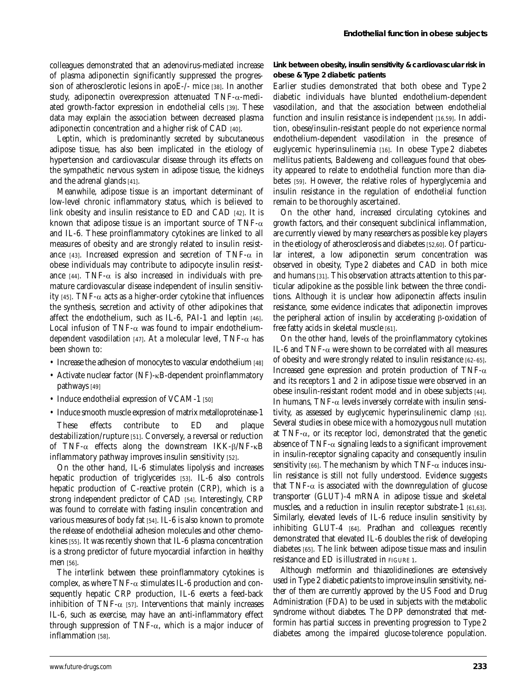colleagues demonstrated that an adenovirus-mediated increase of plasma adiponectin significantly suppressed the progression of atherosclerotic lesions in apoE-/- mice [38]. In another study, adiponectin overexpression attenuated TNF-α-mediated growth-factor expression in endothelial cells [39]. These data may explain the association between decreased plasma adiponectin concentration and a higher risk of CAD [40].

Leptin, which is predominantly secreted by subcutaneous adipose tissue, has also been implicated in the etiology of hypertension and cardiovascular disease through its effects on the sympathetic nervous system in adipose tissue, the kidneys and the adrenal glands [41].

Meanwhile, adipose tissue is an important determinant of low-level chronic inflammatory status, which is believed to link obesity and insulin resistance to ED and CAD [42]. It is known that adipose tissue is an important source of TNF- $\alpha$ and IL-6. These proinflammatory cytokines are linked to all measures of obesity and are strongly related to insulin resistance [43]. Increased expression and secretion of TNF- $\alpha$  in obese individuals may contribute to adipocyte insulin resistance [44]. TNF- $\alpha$  is also increased in individuals with premature cardiovascular disease independent of insulin sensitivity [45]. TNF- $\alpha$  acts as a higher-order cytokine that influences the synthesis, secretion and activity of other adipokines that affect the endothelium, such as IL-6, PAI-1 and leptin [46]. Local infusion of TNF- $\alpha$  was found to impair endotheliumdependent vasodilation [47]. At a molecular level, TNF- $\alpha$  has been shown to:

- Increase the adhesion of monocytes to vascular endothelium [48]
- Activate nuclear factor (NF)-κB-dependent proinflammatory pathways [49]
- Induce endothelial expression of VCAM-1 [50]
- Induce smooth muscle expression of matrix metalloproteinase-1

These effects contribute to ED and plaque destabilization/rupture [51]. Conversely, a reversal or reduction of TNF-α effects along the downstream IKK-β/NF-κB inflammatory pathway improves insulin sensitivity [52].

On the other hand, IL-6 stimulates lipolysis and increases hepatic production of triglycerides [53]. IL-6 also controls hepatic production of C-reactive protein (CRP), which is a strong independent predictor of CAD [54]. Interestingly, CRP was found to correlate with fasting insulin concentration and various measures of body fat [54]. IL-6 is also known to promote the release of endothelial adhesion molecules and other chemokines [55]. It was recently shown that IL-6 plasma concentration is a strong predictor of future myocardial infarction in healthy men [56].

The interlink between these proinflammatory cytokines is complex, as where TNF- $\alpha$  stimulates IL-6 production and consequently hepatic CRP production, IL-6 exerts a feed-back inhibition of TNF- $\alpha$  [57]. Interventions that mainly increases IL-6, such as exercise, may have an anti-inflammatory effect through suppression of TNF- $\alpha$ , which is a major inducer of inflammation [58].

**Link between obesity, insulin sensitivity & cardiovascular risk in obese & Type 2 diabetic patients**

Earlier studies demonstrated that both obese and Type 2 diabetic individuals have blunted endothelium-dependent vasodilation, and that the association between endothelial function and insulin resistance is independent [16,59]. In addition, obese/insulin-resistant people do not experience normal endothelium-dependent vasodilation in the presence of euglycemic hyperinsulinemia [16]. In obese Type 2 diabetes mellitus patients, Baldeweng and colleagues found that obesity appeared to relate to endothelial function more than diabetes [59]. However, the relative roles of hyperglycemia and insulin resistance in the regulation of endothelial function remain to be thoroughly ascertained.

On the other hand, increased circulating cytokines and growth factors, and their consequent subclinical inflammation, are currently viewed by many researchers as possible key players in the etiology of atherosclerosis and diabetes [52,60]. Of particular interest, a low adiponectin serum concentration was observed in obesity, Type 2 diabetes and CAD in both mice and humans [31]. This observation attracts attention to this particular adipokine as the possible link between the three conditions. Although it is unclear how adiponectin affects insulin resistance, some evidence indicates that adiponectin improves the peripheral action of insulin by accelerating β-oxidation of free fatty acids in skeletal muscle [61].

On the other hand, levels of the proinflammatory cytokines IL-6 and TNF- $\alpha$  were shown to be correlated with all measures of obesity and were strongly related to insulin resistance [62–65]. Increased gene expression and protein production of TNF- $\alpha$ and its receptors 1 and 2 in adipose tissue were observed in an obese insulin-resistant rodent model and in obese subjects [44]. In humans, TNF- $\alpha$  levels inversely correlate with insulin sensitivity, as assessed by euglycemic hyperinsulinemic clamp [61]. Several studies in obese mice with a homozygous null mutation at TNF- $\alpha$ , or its receptor loci, demonstrated that the genetic absence of TNF- $\alpha$  signaling leads to a significant improvement in insulin-receptor signaling capacity and consequently insulin sensitivity [66]. The mechanism by which  $TNF-\alpha$  induces insulin resistance is still not fully understood. Evidence suggests that TNF- $\alpha$  is associated with the downregulation of glucose transporter (GLUT)-4 mRNA in adipose tissue and skeletal muscles, and a reduction in insulin receptor substrate-1 [61,63]. Similarly, elevated levels of IL-6 reduce insulin sensitivity by inhibiting GLUT-4 [64]. Pradhan and colleagues recently demonstrated that elevated IL-6 doubles the risk of developing diabetes [65]. The link between adipose tissue mass and insulin resistance and ED is illustrated in FIGURE 1.

Although metformin and thiazolidinediones are extensively used in Type 2 diabetic patients to improve insulin sensitivity, neither of them are currently approved by the US Food and Drug Administration (FDA) to be used in subjects with the metabolic syndrome without diabetes. The DPP demonstrated that metformin has partial success in preventing progression to Type 2 diabetes among the impaired glucose-tolerence population.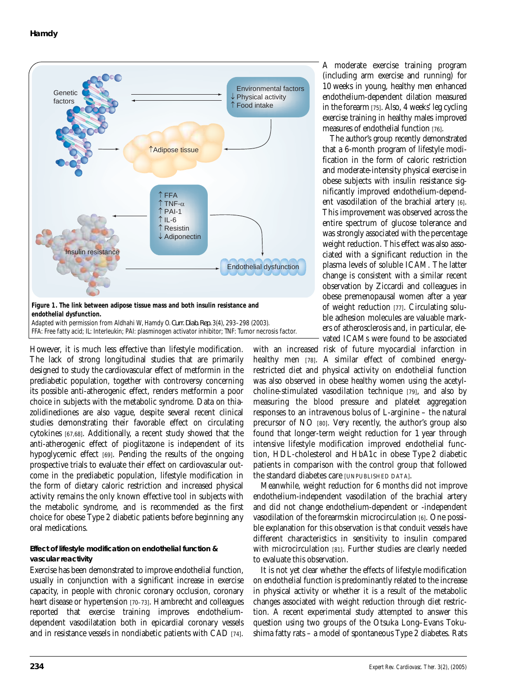

However, it is much less effective than lifestyle modification. The lack of strong longitudinal studies that are primarily designed to study the cardiovascular effect of metformin in the prediabetic population, together with controversy concerning its possible anti-atherogenic effect, renders metformin a poor choice in subjects with the metabolic syndrome. Data on thiazolidinediones are also vague, despite several recent clinical studies demonstrating their favorable effect on circulating cytokines [67,68]. Additionally, a recent study showed that the anti-atherogenic effect of pioglitazone is independent of its hypoglycemic effect [69]. Pending the results of the ongoing prospective trials to evaluate their effect on cardiovascular outcome in the prediabetic population, lifestyle modification in the form of dietary caloric restriction and increased physical activity remains the only known effective tool in subjects with the metabolic syndrome, and is recommended as the first choice for obese Type 2 diabetic patients before beginning any oral medications.

# *Effect of lifestyle modification on endothelial function & vascular reactivity*

Exercise has been demonstrated to improve endothelial function, usually in conjunction with a significant increase in exercise capacity, in people with chronic coronary occlusion, coronary heart disease or hypertension [70–73]. Hambrecht and colleagues reported that exercise training improves endotheliumdependent vasodilatation both in epicardial coronary vessels and in resistance vessels in nondiabetic patients with CAD [74].

A moderate exercise training program (including arm exercise and running) for 10 weeks in young, healthy men enhanced endothelium-dependent dilation measured in the forearm [75]. Also, 4 weeks' leg cycling exercise training in healthy males improved measures of endothelial function [76].

The author's group recently demonstrated that a 6-month program of lifestyle modification in the form of caloric restriction and moderate-intensity physical exercise in obese subjects with insulin resistance significantly improved endothelium-dependent vasodilation of the brachial artery [6]. This improvement was observed across the entire spectrum of glucose tolerance and was strongly associated with the percentage weight reduction. This effect was also associated with a significant reduction in the plasma levels of soluble ICAM. The latter change is consistent with a similar recent observation by Ziccardi and colleagues in obese premenopausal women after a year of weight reduction [77]. Circulating soluble adhesion molecules are valuable markers of atherosclerosis and, in particular, elevated ICAMs were found to be associated

with an increased risk of future myocardial infarction in healthy men [78]. A similar effect of combined energyrestricted diet and physical activity on endothelial function was also observed in obese healthy women using the acetylcholine-stimulated vasodilation technique [79], and also by measuring the blood pressure and platelet aggregation responses to an intravenous bolus of L-arginine – the natural precursor of NO [80]. Very recently, the author's group also found that longer-term weight reduction for 1 year through intensive lifestyle modification improved endothelial function, HDL-cholesterol and HbA1c in obese Type 2 diabetic patients in comparison with the control group that followed the standard diabetes care [UNPUBLISHED DATA].

Meanwhile, weight reduction for 6 months did not improve endothelium-independent vasodilation of the brachial artery and did not change endothelium-dependent or -independent vasodilation of the forearmskin microcirculation [6]. One possible explanation for this observation is that conduit vessels have different characteristics in sensitivity to insulin compared with microcirculation [81]. Further studies are clearly needed to evaluate this observation.

It is not yet clear whether the effects of lifestyle modification on endothelial function is predominantly related to the increase in physical activity or whether it is a result of the metabolic changes associated with weight reduction through diet restriction. A recent experimental study attempted to answer this question using two groups of the Otsuka Long–Evans Tokushima fatty rats – a model of spontaneous Type 2 diabetes. Rats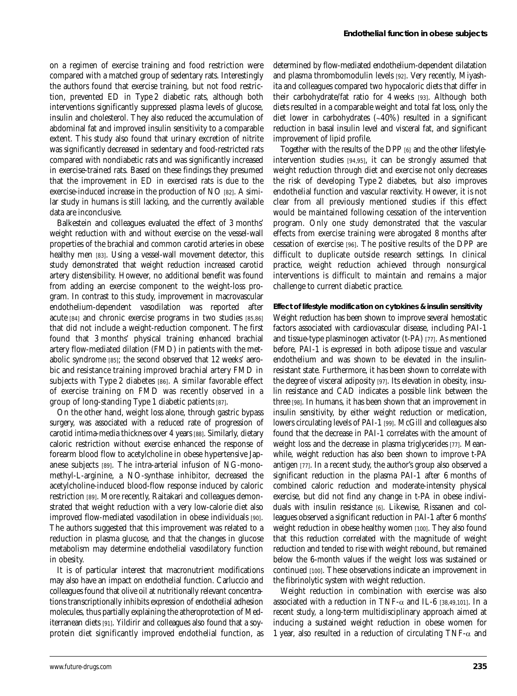on a regimen of exercise training and food restriction were compared with a matched group of sedentary rats. Interestingly the authors found that exercise training, but not food restriction, prevented ED in Type 2 diabetic rats, although both interventions significantly suppressed plasma levels of glucose, insulin and cholesterol. They also reduced the accumulation of abdominal fat and improved insulin sensitivity to a comparable extent. This study also found that urinary excretion of nitrite was significantly decreased in sedentary and food-restricted rats compared with nondiabetic rats and was significantly increased in exercise-trained rats. Based on these findings they presumed that the improvement in ED in exercised rats is due to the exercise-induced increase in the production of NO [82]. A similar study in humans is still lacking, and the currently available data are inconclusive.

Balkestein and colleagues evaluated the effect of 3 months' weight reduction with and without exercise on the vessel-wall properties of the brachial and common carotid arteries in obese healthy men [83]. Using a vessel-wall movement detector, this study demonstrated that weight reduction increased carotid artery distensibility. However, no additional benefit was found from adding an exercise component to the weight-loss program. In contrast to this study, improvement in macrovascular endothelium-dependent vasodilation was reported after acute [84] and chronic exercise programs in two studies [85,86] that did not include a weight-reduction component. The first found that 3 months' physical training enhanced brachial artery flow-mediated dilation (FMD) in patients with the metabolic syndrome [85]; the second observed that 12 weeks' aerobic and resistance training improved brachial artery FMD in subjects with Type 2 diabetes [86]. A similar favorable effect of exercise training on FMD was recently observed in a group of long-standing Type 1 diabetic patients [87].

On the other hand, weight loss alone, through gastric bypass surgery, was associated with a reduced rate of progression of carotid intima-media thickness over 4 years [88]. Similarly, dietary caloric restriction without exercise enhanced the response of forearm blood flow to acetylcholine in obese hypertensive Japanese subjects [89]. The intra-arterial infusion of NG-monomethyl-L-arginine, a NO-synthase inhibitor, decreased the acetylcholine-induced blood-flow response induced by caloric restriction [89]. More recently, Raitakari and colleagues demonstrated that weight reduction with a very low-calorie diet also improved flow-mediated vasodilation in obese individuals [90]. The authors suggested that this improvement was related to a reduction in plasma glucose, and that the changes in glucose metabolism may determine endothelial vasodilatory function in obesity.

It is of particular interest that macronutrient modifications may also have an impact on endothelial function. Carluccio and colleagues found that olive oil at nutritionally relevant concentrations transcriptionally inhibits expression of endothelial adhesion molecules, thus partially explaining the atheroprotection of Mediterranean diets [91]. Yildirir and colleagues also found that a soyprotein diet significantly improved endothelial function, as

determined by flow-mediated endothelium-dependent dilatation and plasma thrombomodulin levels [92]. Very recently, Miyashita and colleagues compared two hypocaloric diets that differ in their carbohydrate/fat ratio for 4 weeks [93]. Although both diets resulted in a comparable weight and total fat loss, only the diet lower in carbohydrates (∼40%) resulted in a significant reduction in basal insulin level and visceral fat, and significant improvement of lipid profile.

Together with the results of the DPP [6] and the other lifestyleintervention studies [94,95], it can be strongly assumed that weight reduction through diet and exercise not only decreases the risk of developing Type 2 diabetes, but also improves endothelial function and vascular reactivity. However, it is not clear from all previously mentioned studies if this effect would be maintained following cessation of the intervention program. Only one study demonstrated that the vascular effects from exercise training were abrogated 8 months after cessation of exercise [96]. The positive results of the DPP are difficult to duplicate outside research settings. In clinical practice, weight reduction achieved through nonsurgical interventions is difficult to maintain and remains a major challenge to current diabetic practice.

#### *Effect of lifestyle modification on cytokines & insulin sensitivity*

Weight reduction has been shown to improve several hemostatic factors associated with cardiovascular disease, including PAI-1 and tissue-type plasminogen activator (t-PA) [77]. As mentioned before, PAI-1 is expressed in both adipose tissue and vascular endothelium and was shown to be elevated in the insulinresistant state. Furthermore, it has been shown to correlate with the degree of visceral adiposity [97]. Its elevation in obesity, insulin resistance and CAD indicates a possible link between the three [98]. In humans, it has been shown that an improvement in insulin sensitivity, by either weight reduction or medication, lowers circulating levels of PAI-1 [99]. McGill and colleagues also found that the decrease in PAI-1 correlates with the amount of weight loss and the decrease in plasma triglycerides [77]. Meanwhile, weight reduction has also been shown to improve t-PA antigen [77]. In a recent study, the author's group also observed a significant reduction in the plasma PAI-1 after 6 months of combined caloric reduction and moderate-intensity physical exercise, but did not find any change in t-PA in obese individuals with insulin resistance [6]. Likewise, Rissanen and colleagues observed a significant reduction in PAI-1 after 6 months' weight reduction in obese healthy women [100]. They also found that this reduction correlated with the magnitude of weight reduction and tended to rise with weight rebound, but remained below the 6-month values if the weight loss was sustained or continued [100]. These observations indicate an improvement in the fibrinolytic system with weight reduction.

Weight reduction in combination with exercise was also associated with a reduction in TNF- $\alpha$  and IL-6 [38,49,101]. In a recent study, a long-term multidisciplinary approach aimed at inducing a sustained weight reduction in obese women for 1 year, also resulted in a reduction of circulating TNF- $\alpha$  and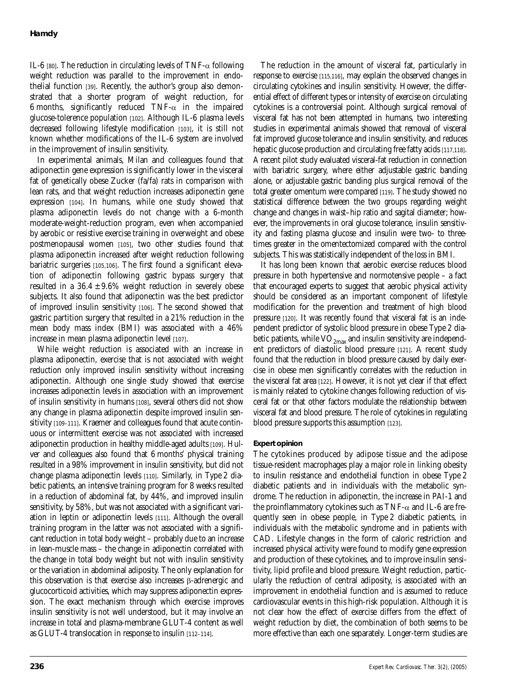IL-6 [80]. The reduction in circulating levels of TNF- $\alpha$  following weight reduction was parallel to the improvement in endothelial function [39]. Recently, the author's group also demonstrated that a shorter program of weight reduction, for 6 months, significantly reduced TNF- $\alpha$  in the impaired glucose-tolerence population [102]. Although IL-6 plasma levels decreased following lifestyle modification [103], it is still not known whether modifications of the IL-6 system are involved in the improvement of insulin sensitivity.

In experimental animals, Milan and colleagues found that adiponectin gene expression is significantly lower in the visceral fat of genetically obese Zucker (fa/fa) rats in comparison with lean rats, and that weight reduction increases adiponectin gene expression [104]. In humans, while one study showed that plasma adiponectin levels do not change with a 6-month moderate-weight-reduction program, even when accompanied by aerobic or resistive exercise training in overweight and obese postmenopausal women [105], two other studies found that plasma adiponectin increased after weight reduction following bariatric surgeries [105,106]. The first found a significant elevation of adiponectin following gastric bypass surgery that resulted in a 36.4 ± 9.6% weight reduction in severely obese subjects. It also found that adiponectin was the best predictor of improved insulin sensitivity [106]. The second showed that gastric partition surgery that resulted in a 21% reduction in the mean body mass index (BMI) was associated with a 46% increase in mean plasma adiponectin level [107].

While weight reduction is associated with an increase in plasma adiponectin, exercise that is not associated with weight reduction only improved insulin sensitivity without increasing adiponectin. Although one single study showed that exercise increases adiponectin levels in association with an improvement of insulin sensitivity in humans [108], several others did not show any change in plasma adiponectin despite improved insulin sensitivity [109-111]. Kraemer and colleagues found that acute continuous or intermittent exercise was not associated with increased adiponectin production in healthy middle-aged adults [109]. Hulver and colleagues also found that 6 months' physical training resulted in a 98% improvement in insulin sensitivity, but did not change plasma adiponectin levels [110]. Similarly, in Type 2 diabetic patients, an intensive training program for 8 weeks resulted in a reduction of abdominal fat, by 44%, and improved insulin sensitivity, by 58%, but was not associated with a significant variation in leptin or adiponectin levels [111]. Although the overall training program in the latter was not associated with a significant reduction in total body weight – probably due to an increase in lean-muscle mass – the change in adiponectin correlated with the change in total body weight but not with insulin sensitivity or the variation in abdominal adiposity. The only explanation for this observation is that exercise also increases β-adrenergic and glucocorticoid activities, which may suppress adiponectin expression. The exact mechanism through which exercise improves insulin sensitivity is not well understood, but it may involve an increase in total and plasma-membrane GLUT-4 content as well as GLUT-4 translocation in response to insulin [112–114].

The reduction in the amount of visceral fat, particularly in response to exercise [115,116], may explain the observed changes in circulating cytokines and insulin sensitivity. However, the differential effect of different types or intensity of exercise on circulating cytokines is a controversial point. Although surgical removal of visceral fat has not been attempted in humans, two interesting studies in experimental animals showed that removal of visceral fat improved glucose tolerance and insulin sensitivity, and reduces hepatic glucose production and circulating free fatty acids [117,118]. A recent pilot study evaluated visceral-fat reduction in connection with bariatric surgery, where either adjustable gastric banding alone, or adjustable gastric banding plus surgical removal of the total greater omentum were compared [119]. The study showed no statistical difference between the two groups regarding weight change and changes in waist–hip ratio and sagital diameter; however, the improvements in oral glucose tolerance, insulin sensitivity and fasting plasma glucose and insulin were two- to threetimes greater in the omentectomized compared with the control subjects. This was statistically independent of the loss in BMI.

It has long been known that aerobic exercise reduces blood pressure in both hypertensive and normotensive people – a fact that encouraged experts to suggest that aerobic physical activity should be considered as an important component of lifestyle modification for the prevention and treatment of high blood pressure [120]. It was recently found that visceral fat is an independent predictor of systolic blood pressure in obese Type 2 diabetic patients, while  $VO_{2max}$  and insulin sensitivity are independent predictors of diastolic blood pressure [121]. A recent study found that the reduction in blood pressure caused by daily exercise in obese men significantly correlates with the reduction in the visceral fat area [122]. However, it is not yet clear if that effect is mainly related to cytokine changes following reduction of visceral fat or that other factors modulate the relationship between visceral fat and blood pressure. The role of cytokines in regulating blood pressure supports this assumption [123].

# **Expert opinion**

The cytokines produced by adipose tissue and the adipose tissue-resident macrophages play a major role in linking obesity to insulin resistance and endothelial function in obese Type 2 diabetic patients and in individuals with the metabolic syndrome. The reduction in adiponectin, the increase in PAI-1 and the proinflammatory cytokines such as TNF- $\alpha$  and IL-6 are frequently seen in obese people, in Type 2 diabetic patients, in individuals with the metabolic syndrome and in patients with CAD. Lifestyle changes in the form of caloric restriction and increased physical activity were found to modify gene expression and production of these cytokines, and to improve insulin sensitivity, lipid profile and blood pressure. Weight reduction, particularly the reduction of central adiposity, is associated with an improvement in endothelial function and is assumed to reduce cardiovascular events in this high-risk population. Although it is not clear how the effect of exercise differs from the effect of weight reduction by diet, the combination of both seems to be more effective than each one separately. Longer-term studies are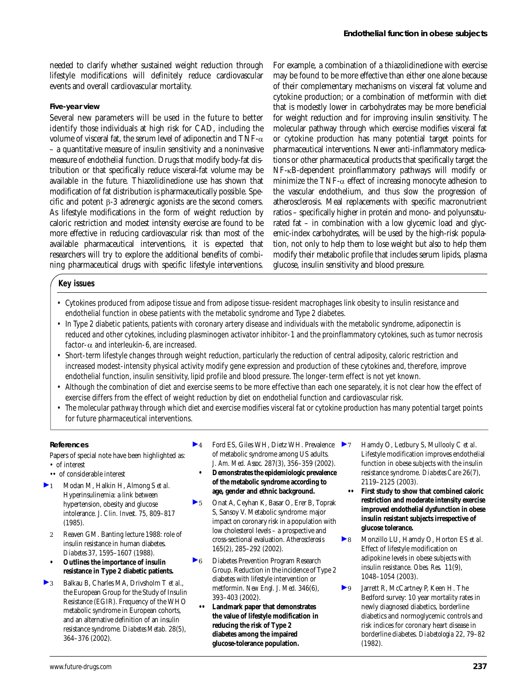needed to clarify whether sustained weight reduction through lifestyle modifications will definitely reduce cardiovascular events and overall cardiovascular mortality.

#### **Five-year view**

Several new parameters will be used in the future to better identify those individuals at high risk for CAD, including the volume of visceral fat, the serum level of adiponectin and TNF-α – a quantitative measure of insulin sensitivity and a noninvasive measure of endothelial function. Drugs that modify body-fat distribution or that specifically reduce visceral-fat volume may be available in the future. Thiazolidinedione use has shown that modification of fat distribution is pharmaceutically possible. Specific and potent β-3 adrenergic agonists are the second comers. As lifestyle modifications in the form of weight reduction by caloric restriction and modest intensity exercise are found to be more effective in reducing cardiovascular risk than most of the available pharmaceutical interventions, it is expected that researchers will try to explore the additional benefits of combining pharmaceutical drugs with specific lifestyle interventions.

For example, a combination of a thiazolidinedione with exercise may be found to be more effective than either one alone because of their complementary mechanisms on visceral fat volume and cytokine production; or a combination of metformin with diet that is modestly lower in carbohydrates may be more beneficial for weight reduction and for improving insulin sensitivity. The molecular pathway through which exercise modifies visceral fat or cytokine production has many potential target points for pharmaceutical interventions. Newer anti-inflammatory medications or other pharmaceutical products that specifically target the NF-κB-dependent proinflammatory pathways will modify or minimize the  $TNF-\alpha$  effect of increasing monocyte adhesion to the vascular endothelium, and thus slow the progression of atherosclerosis. Meal replacements with specific macronutrient ratios – specifically higher in protein and mono- and polyunsaturated fat – in combination with a low glycemic load and glycemic-index carbohydrates, will be used by the high-risk population, not only to help them to lose weight but also to help them modify their metabolic profile that includes serum lipids, plasma glucose, insulin sensitivity and blood pressure.

# **Key issues**

- Cytokines produced from adipose tissue and from adipose tissue-resident macrophages link obesity to insulin resistance and endothelial function in obese patients with the metabolic syndrome and Type 2 diabetes.
- In Type 2 diabetic patients, patients with coronary artery disease and individuals with the metabolic syndrome, adiponectin is reduced and other cytokines, including plasminogen activator inhibitor-1 and the proinflammatory cytokines, such as tumor necrosis factor- $\alpha$  and interleukin-6, are increased.
- Short-term lifestyle changes through weight reduction, particularly the reduction of central adiposity, caloric restriction and increased modest-intensity physical activity modify gene expression and production of these cytokines and, therefore, improve endothelial function, insulin sensitivity, lipid profile and blood pressure. The longer-term effect is not yet known.
- Although the combination of diet and exercise seems to be more effective than each one separately, it is not clear how the effect of exercise differs from the effect of weight reduction by diet on endothelial function and cardiovascular risk.
- The molecular pathway through which diet and exercise modifies visceral fat or cytokine production has many potential target points for future pharmaceutical interventions.

# **References**

Papers of special note have been highlighted as: • of interest

- •• of considerable interest
- 1 Modan M, Halkin H, Almong S *et al.* Hyperinsulinemia: a link between hypertension, obesity and glucose intolerance. *J. Clin. Invest.* 75, 809–817 (1985).
	- 2 Reaven GM. Banting lecture 1988: role of insulin resistance in human diabetes. *Diabetes* 37, 1595–1607 (1988).
- **Outlines the importance of insulin resistance in Type 2 diabetic patients.**
- 3 Balkau B, Charles MA, Drivsholm T *et al*., the European Group for the Study of Insulin Resistance (EGIR). Frequency of the WHO metabolic syndrome in European cohorts, and an alternative definition of an insulin resistance syndrome. *Diabetes Metab.* 28(5), 364–376 (2002).
- $\blacktriangleright$  4 Ford ES, Giles WH, Dietz WH. Prevalence  $\blacktriangleright$  7 of metabolic syndrome among US adults. *J. Am. Med. Assoc.* 287(3), 356–359 (2002).
	- **Demonstrates the epidemiologic prevalence of the metabolic syndrome according to age, gender and ethnic background.**
- 5 Onat A, Ceyhan K, Basar O, Erer B, Toprak S, Sansoy V. Metabolic syndrome: major impact on coronary risk in a population with low cholesterol levels – a prospective and cross-sectional evaluation. *Atherosclerosis* 165(2), 285–292 (2002).
- 6 Diabetes Prevention Program Research Group. Reduction in the incidence of Type 2 diabetes with lifestyle intervention or metformin. *New Engl. J. Med.* 346(6), 393–403 (2002).
- **•• Landmark paper that demonstrates the value of lifestyle modification in reducing the risk of Type 2 diabetes among the impaired glucose-tolerance population.**
- 7 Hamdy O, Ledbury S, Mullooly C *et al*. Lifestyle modification improves endothelial function in obese subjects with the insulin resistance syndrome. *Diabetes Care* 26(7), 2119–2125 (2003).
- **•• First study to show that combined caloric restriction and moderate intensity exercise improved endothelial dysfunction in obese insulin resistant subjects irrespective of glucose tolerance.**
- 8 Monzillo LU, Hamdy O, Horton ES *et al*. Effect of lifestyle modification on adipokine levels in obese subjects with insulin resistance. *Obes. Res.* 11(9), 1048–1054 (2003).
- 9 Jarrett R, McCartney P, Keen H. The Bedford survey: 10 year mortality rates in newly diagnosed diabetics, borderline diabetics and normoglycemic controls and risk indices for coronary heart disease in borderline diabetes. *Diabetologia* 22, 79–82 (1982).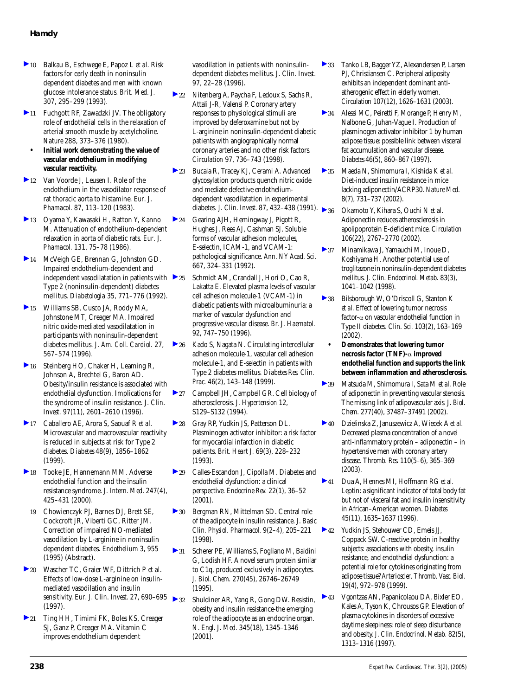# **Hamdy**

- 10 Balkau B, Eschwege E, Papoz L *et al*. Risk factors for early death in noninsulin dependent diabetes and men with known glucose intolerance status. *Brit. Med. J.* 307, 295–299 (1993).
- ▶ 11 Fuchgott RF, Zawadzki JV. The obligatory role of endothelial cells in the relaxation of arterial smooth muscle by acetylcholine. *Nature* 288, 373–376 (1980).
- **Initial work demonstrating the value of vascular endothelium in modifying vascular reactivity.**
- 12 Van Voorde J, Leusen I. Role of the endothelium in the vasodilator response of rat thoracic aorta to histamine. *Eur. J. Phamacol.* 87, 113–120 (1983).
- 13 Oyama Y, Kawasaki H, Ratton Y, Kanno M. Attenuation of endothelium-dependent relaxation in aorta of diabetic rats. *Eur. J. Phamacol.* 131, 75–78 (1986).
- 14 McVeigh GE, Brennan G, Johnston GD. Impaired endothelium-dependent and independent vasodilatation in patients with  $\geq 25$ Type 2 (noninsulin-dependent) diabetes mellitus. *Diabetologia* 35, 771–776 (1992).
- 15 Williams SB, Cusco JA, Roddy MA, Johnstone MT, Creager MA. Impaired nitric oxide-mediated vasodilatation in participants with noninsulin-dependent diabetes mellitus. *J. Am. Coll. Cardiol.* 27, 567–574 (1996).
- ▶ 16 Steinberg HO, Chaker H, Leaming R, Johnson A, Brechtel G, Baron AD. Obesity/insulin resistance is associated with endothelial dysfunction. Implications for the syndrome of insulin resistance. *J. Clin. Invest.* 97(11), 2601–2610 (1996).
- 17 Caballero AE, Arora S, Saouaf R *et al.* Microvascular and macrovascular reactivity is reduced in subjects at risk for Type 2 diabetes. *Diabetes* 48(9), 1856–1862 (1999).
- 18 Tooke JE, Hannemann MM. Adverse endothelial function and the insulin resistance syndrome. *J. Intern. Med.* 247(4), 425–431 (2000).
- 19 Chowienczyk PJ, Barnes DJ, Brett SE, Cockcroft JR, Viberti GC, Ritter JM. Correction of impaired NO-mediated vasodilation by L-arginine in noninsulin dependent diabetes. *Endothelium* 3, 955 (1995) (Abstract).
- 20 Wascher TC, Graier WF, Dittrich P *et al*. Effects of low-dose L-arginine on insulinmediated vasodilation and insulin sensitivity. *Eur. J. Clin. Invest.* 27, 690–695 (1997).
- ▶ 21 Ting HH, Timimi FK, Boles KS, Creager SJ, Ganz P, Creager MA. Vitamin C improves endothelium dependent

vasodilation in patients with noninsulindependent diabetes mellitus. *J. Clin. Invest.* 97, 22–28 (1996).

- 22 Nitenberg A, Paycha F, Ledoux S, Sachs R, Attali J-R, Valensi P. Coronary artery responses to physiological stimuli are improved by deferoxamine but not by L-arginine in noninsulin-dependent diabetic patients with angiographically normal coronary arteries and no other risk factors. *Circulation* 97, 736–743 (1998).
- 23 Bucala R, Tracey KJ, Cerami A. Advanced glycosylation products quench nitric oxide and mediate defective endotheliumdependent vasodilatation in experimental diabetes. *J. Clin. Invest.* 87, 432–438 (1991).
- ▶ 24 Gearing AJH, Hemingway J, Pigott R, Hughes J, Rees AJ, Cashman SJ. Soluble forms of vascular adhesion molecules, E-selectin, ICAM-1, and VCAM-1: pathological significance. *Ann. NY Acad. Sci.* 667, 324–331 (1992).
	- Schmidt AM, Crandall J, Hori O, Cao R, Lakatta E. Elevated plasma levels of vascular cell adhesion molecule-1 (VCAM-1) in diabetic patients with microalbuminuria: a marker of vascular dysfunction and progressive vascular disease. *Br. J. Haematol.* 92, 747–750 (1996).
- 26 Kado S, Nagata N. Circulating intercellular adhesion molecule-1, vascular cell adhesion molecule-1, and E-selectin in patients with Type 2 diabetes mellitus. *Diabetes Res. Clin. Prac.* 46(2), 143–148 (1999).
- ▶ 27 Campbell JH, Campbell GR. Cell biology of atherosclerosis. *J. Hypertension* 12, S129–S132 (1994).
- ▶ 28 Gray RP, Yudkin JS, Patterson DL. Plasminogen activator inhibitor: a risk factor for myocardial infarction in diabetic patients. *Brit. Heart J.* 69(3), 228–232 (1993).
- 29 Calles-Escandon J, Cipolla M. Diabetes and endothelial dysfunction: a clinical perspective. *Endocrine Rev.* 22(1), 36–52 (2001).
- 30 Bergman RN, Mittelman SD. Central role of the adipocyte in insulin resistance. *J. Basic Clin. Physiol. Pharmacol.* 9(2–4), 205–221 (1998).
- 31 Scherer PE, Williams S, Fogliano M, Baldini G, Lodish HF. A novel serum protein similar to C1q, produced exclusively in adipocytes. *J. Biol. Chem.* 270(45), 26746–26749 (1995).
	- 32 Shuldiner AR, Yang R, Gong DW. Resistin, obesity and insulin resistance-the emerging role of the adipocyte as an endocrine organ. *N. Engl. J. Med.* 345(18), 1345–1346 (2001).
- 33 Tanko LB, Bagger YZ, Alexandersen P, Larsen PJ, Christiansen C. Peripheral adiposity exhibits an independent dominant antiatherogenic effect in elderly women. *Circulation* 107(12), 1626–1631 (2003).
- 34 Alessi MC, Peiretti F, Morange P, Henry M, Nalbone G, Juhan-Vague I. Production of plasminogen activator inhibitor 1 by human adipose tissue: possible link between visceral fat accumulation and vascular disease. *Diabetes* 46(5), 860–867 (1997).
- 35 Maeda N, Shimomura I, Kishida K *et al*. Diet-induced insulin resistance in mice lacking adiponectin/ACRP30. *Nature Med.* 8(7), 731–737 (2002).
	- 36 Okamoto Y, Kihara S, Ouchi N *et al*. Adiponectin reduces atherosclerosis in apolipoprotein E-deficient mice. *Circulation* 106(22), 2767–2770 (2002).
- 37 Minamikawa J, Yamauchi M, Inoue D, Koshiyama H. Another potential use of troglitazone in noninsulin-dependent diabetes mellitus. *J. Clin. Endocrinol. Metab.* 83(3), 1041–1042 (1998).
- 38 Bilsborough W, O'Driscoll G, Stanton K *et al.* Effect of lowering tumor necrosis factor-α on vascular endothelial function in Type II diabetes. *Clin. Sci.* 103(2), 163–169 (2002).
	- **Demonstrates that lowering tumor necrosis factor (TNF)-**α **improved endothelial function and supports the link between inflammation and atherosclerosis.**
- 39 Matsuda M, Shimomura I, Sata M *et al*. Role of adiponectin in preventing vascular stenosis. The missing link of adipovascular axis. *J. Biol. Chem.* 277(40), 37487–37491 (2002).
- 40 Dzielinska Z, Januszewicz A, Wiecek A *et al*. Decreased plasma concentration of a novel anti-inflammatory protein – adiponectin – in hypertensive men with coronary artery disease. *Thromb. Res.* 110(5–6), 365–369 (2003).
- 41 Dua A, Hennes MI, Hoffmann RG *et al.* Leptin: a significant indicator of total body fat but not of visceral fat and insulin insensitivity in African–American women. *Diabetes* 45(11), 1635–1637 (1996).
- 42 Yudkin JS, Stehouwer CD, Emeis JJ, Coppack SW. C-reactive protein in healthy subjects: associations with obesity, insulin resistance, and endothelial dysfunction: a potential role for cytokines originating from adipose tissue? *Arterioscler. Thromb. Vasc. Biol.* 19(4), 972–978 (1999).
- 43 Vgontzas AN, Papanicolaou DA, Bixler EO, Kales A, Tyson K, Chrousos GP. Elevation of plasma cytokines in disorders of excessive daytime sleepiness: role of sleep disturbance and obesity. *J. Clin. Endocrinol. Metab.* 82(5), 1313–1316 (1997).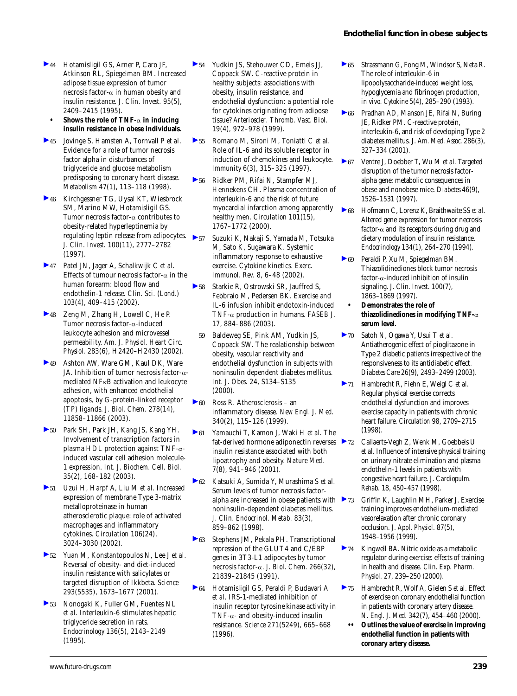- 44 Hotamisligil GS, Arner P, Caro JF, Atkinson RL, Spiegelman BM. Increased adipose tissue expression of tumor necrosis factor-α in human obesity and insulin resistance. *J. Clin. Invest.* 95(5), 2409–2415 (1995).
- **Shows the role of TNF-**α **in inducing insulin resistance in obese individuals.**
- 45 Jovinge S, Hamsten A, Tornvall P *et al*. Evidence for a role of tumor necrosis factor alpha in disturbances of triglyceride and glucose metabolism predisposing to coronary heart disease. *Metabolism* 47(1), 113–118 (1998).
- 46 Kirchgessner TG, Uysal KT, Wiesbrock SM, Marino MW, Hotamisligil GS. Tumor necrosis factor-α contributes to obesity-related hyperleptinemia by regulating leptin release from adipocytes.  $\blacktriangleright$  57 *J. Clin. Invest.* 100(11), 2777–2782 (1997).
- 47 Patel JN, Jager A, Schalkwijk C *et al*. Effects of tumour necrosis factor- $\alpha$  in the human forearm: blood flow and endothelin-1 release. *Clin. Sci. (Lond.)* 103(4), 409–415 (2002).
- ▶ 48 Zeng M, Zhang H, Lowell C, He P. Tumor necrosis factor-α-induced leukocyte adhesion and microvessel permeability. *Am. J. Physiol. Heart Circ. Physiol.* 283(6), H2420–H2430 (2002).
- 49 Ashton AW, Ware GM, Kaul DK, Ware JA. Inhibition of tumor necrosis factor-αmediated NFκB activation and leukocyte adhesion, with enhanced endothelial apoptosis, by G-protein-linked receptor (TP) ligands. *J. Biol. Chem.* 278(14), 11858–11866 (2003).
- 50 Park SH, Park JH, Kang JS, Kang YH. Involvement of transcription factors in plasma HDL protection against TNF-αinduced vascular cell adhesion molecule-1 expression. *Int. J. Biochem. Cell. Biol.* 35(2), 168–182 (2003).
- 51 Uzui H, Harpf A, Liu M *et al*. Increased expression of membrane Type 3-matrix metalloproteinase in human atherosclerotic plaque: role of activated macrophages and inflammatory cytokines. *Circulation* 106(24), 3024–3030 (2002).
- 52 Yuan M, Konstantopoulos N, Lee J *et al*. Reversal of obesity- and diet-induced insulin resistance with salicylates or targeted disruption of Ikkbeta. *Science* 293(5535), 1673–1677 (2001).
- 53 Nonogaki K, Fuller GM, Fuentes NL *et al*. Interleukin-6 stimulates hepatic triglyceride secretion in rats. *Endocrinology* 136(5), 2143–2149 (1995).
- 54 Yudkin JS, Stehouwer CD, Emeis JJ, Coppack SW. C-reactive protein in healthy subjects: associations with obesity, insulin resistance, and endothelial dysfunction: a potential role for cytokines originating from adipose tissue? *Arterioscler. Thromb. Vasc. Biol.* 19(4), 972–978 (1999).
- 55 Romano M, Sironi M, Toniatti C *et al.* Role of IL-6 and its soluble receptor in induction of chemokines and leukocyte. *Immunity* 6(3), 315–325 (1997).
- 56 Ridker PM, Rifai N, Stampfer MJ, Hennekens CH. Plasma concentration of interleukin-6 and the risk of future myocardial infarction among apparently healthy men. *Circulation* 101(15), 1767–1772 (2000).
- Suzuki K, Nakaji S, Yamada M, Totsuka M, Sato K, Sugawara K. Systemic inflammatory response to exhaustive exercise. Cytokine kinetics. *Exerc. Immunol. Rev.* 8, 6–48 (2002).
- 58 Starkie R, Ostrowski SR, Jauffred S, Febbraio M, Pedersen BK. Exercise and IL-6 infusion inhibit endotoxin-induced TNF-α production in humans. *FASEB J.* 17, 884–886 (2003).
	- 59 Baldeweg SE, Pink AM, Yudkin JS, Coppack SW. The realationship between obesity, vascular reactivity and endothelial dysfunction in subjects with noninsulin dependent diabetes mellitus. *Int. J. Obes.* 24, S134–S135 (2000).
- $\triangleright$  60 Ross R. Atherosclerosis an inflammatory disease. *New Engl. J. Med.* 340(2), 115–126 (1999).
- 61 Yamauchi T, Kamon J, Waki H *et al.* The fat-derived hormone adiponectin reverses > 72 insulin resistance associated with both lipoatrophy and obesity. *Nature Med.* 7(8), 941–946 (2001).
- 62 Katsuki A, Sumida Y, Murashima S *et al.* Serum levels of tumor necrosis factoralpha are increased in obese patients with  $\triangleright$  73 noninsulin-dependent diabetes mellitus. *J. Clin. Endocrinol. Metab.* 83(3), 859–862 (1998).
- 63 Stephens JM, Pekala PH. Transcriptional repression of the GLUT4 and C/EBP genes in 3T3-L1 adipocytes by tumor necrosis factor-α. *J. Biol. Chem.* 266(32), 21839–21845 (1991).
- 64 Hotamisligil GS, Peraldi P, Budavari A *et al.* IRS-1-mediated inhibition of insulin receptor tyrosine kinase activity in TNF-α- and obesity-induced insulin resistance. *Science* 271(5249), 665–668 (1996).
- 65 Strassmann G, Fong M, Windsor S, Neta R. The role of interleukin-6 in lipopolysaccharide-induced weight loss, hypoglycemia and fibrinogen production, *in vivo*. *Cytokine* 5(4), 285–290 (1993).
- 66 Pradhan AD, Manson JE, Rifai N, Buring JE, Ridker PM. C-reactive protein, interleukin-6, and risk of developing Type 2 diabetes mellitus. *J. Am. Med. Assoc.* 286(3), 327–334 (2001).
- 67 Ventre J, Doebber T, Wu M *et al.* Targeted disruption of the tumor necrosis factoralpha gene: metabolic consequences in obese and nonobese mice. *Diabetes* 46(9), 1526–1531 (1997).
- 68 Hofmann C, Lorenz K, Braithwaite SS *et al*. Altered gene expression for tumor necrosis factor- $\alpha$  and its receptors during drug and dietary modulation of insulin resistance. *Endocrinology* 134(1), 264–270 (1994).
- 69 Peraldi P, Xu M, Spiegelman BM. Thiazolidinediones block tumor necrosis factor-α-induced inhibition of insulin signaling. *J. Clin. Invest.* 100(7), 1863–1869 (1997).
- **Demonstrates the role of thiazolidinediones in modifying TNF-**α **serum level.**
- 70 Satoh N, Ogawa Y, Usui T *et al*. Antiatherogenic effect of pioglitazone in Type 2 diabetic patients irrespective of the responsiveness to its antidiabetic effect. *Diabetes Care* 26(9), 2493–2499 (2003).
- 71 Hambrecht R, Fiehn E, Weigl C *et al*. Regular physical exercise corrects endothelial dysfunction and improves exercise capacity in patients with chronic heart failure. *Circulation* 98, 2709–2715 (1998).
	- 72 Callaerts-Vegh Z, Wenk M, Goebbels U *et al*. Influence of intensive physical training on urinary nitrate elimination and plasma endothelin-1 levels in patients with congestive heart failure. *J. Cardiopulm. Rehab.* 18, 450–457 (1998).
	- 73 Griffin K, Laughlin MH, Parker J. Exercise training improves endothelium-mediated vasorelaxation after chronic coronary occlusion. *J. Appl. Physiol.* 87(5), 1948–1956 (1999).
- ▶ 74 Kingwell BA. Nitric oxide as a metabolic regulator during exercise: effects of training in health and disease. *Clin. Exp. Pharm. Physiol.* 27, 239–250 (2000).
- 75 Hambrecht R, Wolf A, Gielen S *et al*. Effect of exercise on coronary endothelial function in patients with coronary artery disease. *N. Engl. J. Med.* 342(7), 454–460 (2000).
	- **•• Outlines the value of exercise in improving endothelial function in patients with coronary artery disease.**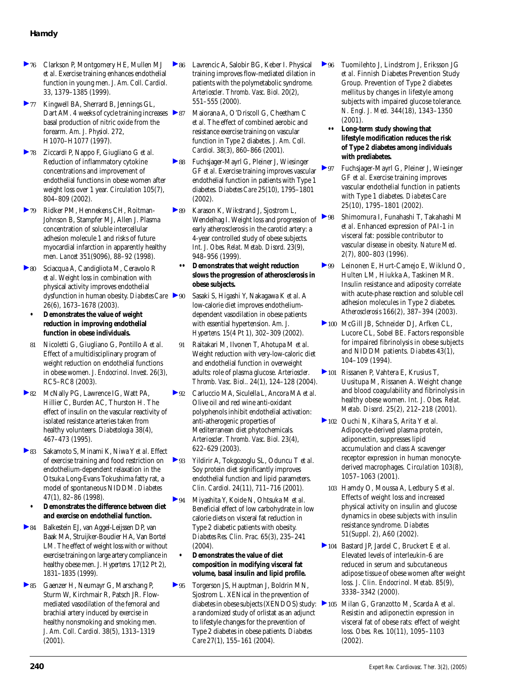- 76 Clarkson P, Montgomery HE, Mullen MJ *et al*. Exercise training enhances endothelial function in young men. *J. Am. Coll. Cardiol.* 33, 1379–1385 (1999).
- 77 Kingwell BA, Sherrard B, Jennings GL, Dart AM. 4 weeks of cycle training increases >87 basal production of nitric oxide from the forearm. *Am. J. Physiol.* 272, H1070–H1077 (1997).
- 78 Ziccardi P, Nappo F, Giugliano G *et al.* Reduction of inflammatory cytokine concentrations and improvement of endothelial functions in obese women after weight loss over 1 year. *Circulation* 105(7), 804–809 (2002).
- 79 Ridker PM, Hennekens CH, Roitman-Johnson B, Stampfer MJ, Allen J. Plasma concentration of soluble intercellular adhesion molecule 1 and risks of future myocardial infarction in apparently healthy men. *Lancet* 351(9096), 88–92 (1998).
- 80 Sciacqua A, Candigliota M, Ceravolo R *et al*. Weight loss in combination with physical activity improves endothelial dysfunction in human obesity. *Diabetes Care* 26(6), 1673–1678 (2003).
	- **Demonstrates the value of weight reduction in improving endothelial function in obese individuals.**
- 81 Nicoletti G, Giugliano G, Pontillo A *et al*. Effect of a multidisciplinary program of weight reduction on endothelial functions in obese women. *J. Endocrinol. Invest.* 26(3), RC5–RC8 (2003).
- ▶ 82 McNally PG, Lawrence IG, Watt PA, Hillier C, Burden AC, Thurston H. The effect of insulin on the vascular reactivity of isolated resistance arteries taken from healthy volunteers. *Diabetologia* 38(4), 467–473 (1995).
- 83 Sakamoto S, Minami K, Niwa Y *et al*. Effect of exercise training and food restriction on endothelium-dependent relaxation in the Otsuka Long-Evans Tokushima fatty rat, a model of spontaneous NIDDM. *Diabetes* 47(1), 82–86 (1998).
- **Demonstrates the difference between diet and exercise on endothelial function.**
- 84 Balkestein EJ, van Aggel-Leijssen DP, van Baak MA, Struijker-Boudier HA, Van Bortel LM. The effect of weight loss with or without exercise training on large artery compliance in healthy obese men. *J. Hypertens.* 17(12 Pt 2), 1831–1835 (1999).
- 85 Gaenzer H, Neumayr G, Marschang P, Sturm W, Kirchmair R, Patsch JR. Flowmediated vasodilation of the femoral and brachial artery induced by exercise in healthy nonsmoking and smoking men. *J. Am. Coll. Cardiol.* 38(5), 1313–1319 (2001).
- 86 Lavrencic A, Salobir BG, Keber I. Physical training improves flow-mediated dilation in patients with the polymetabolic syndrome. *Arterioscler. Thromb. Vasc. Biol.* 20(2), 551–555 (2000).
	- 87 Maiorana A, O'Driscoll G, Cheetham C *et al.* The effect of combined aerobic and resistance exercise training on vascular function in Type 2 diabetes. *J. Am. Coll. Cardiol.* 38(3), 860–866 (2001).
- 88 Fuchsjager-Mayrl G, Pleiner J, Wiesinger GF *et al*. Exercise training improves vascular endothelial function in patients with Type 1 diabetes. *Diabetes Care* 25(10), 1795–1801 (2002).
- 89 Karason K, Wikstrand J, Sjostrom L, Wendelhag I. Weight loss and progression of early atherosclerosis in the carotid artery: a 4-year controlled study of obese subjects. *Int. J. Obes. Relat. Metab. Disord.* 23(9), 948–956 (1999).
	- **•• Demonstrates that weight reduction slows the progression of atherosclerosis in obese subjects.**
	- 90 Sasaki S, Higashi Y, Nakagawa K *et al*. A low-calorie diet improves endotheliumdependent vasodilation in obese patients with essential hypertension. *Am. J. Hypertens.* 15(4 Pt 1), 302–309 (2002).
	- 91 Raitakari M, Ilvonen T, Ahotupa M *et al*. Weight reduction with very-low-caloric diet and endothelial function in overweight adults: role of plasma glucose. *Arterioscler. Thromb. Vasc. Biol.*. 24(1), 124–128 (2004).
- 92 Carluccio MA, Siculella L, Ancora MA *et al*. Olive oil and red wine anti-oxidant polyphenols inhibit endothelial activation: anti-atherogenic properties of Mediterranean diet phytochemicals. *Arterioscler. Thromb. Vasc. Biol.* 23(4), 622–629 (2003).
- 93 Yildirir A, Tokgozoglu SL, Oduncu T *et al*. Soy protein diet significantly improves endothelial function and lipid parameters. *Clin. Cardiol.* 24(11), 711–716 (2001).
- 94 Miyashita Y, Koide N, Ohtsuka M *et al*. Beneficial effect of low carbohydrate in low calorie diets on visceral fat reduction in Type 2 diabetic patients with obesity. *Diabetes Res. Clin. Prac.* 65(3), 235–241  $(2004)$ 
	- **Demonstrates the value of diet composition in modifying visceral fat volume, basal insulin and lipid profile.**
- 95 Torgerson JS, Hauptman J, Boldrin MN, Sjostrom L. XENical in the prevention of diabetes in obese subjects (XENDOS) study: 105 Milan G, Granzotto M, Scarda A *et al*. a randomized study of orlistat as an adjunct to lifestyle changes for the prevention of Type 2 diabetes in obese patients. *Diabetes Care* 27(1), 155–161 (2004).
- 96 Tuomilehto J, Lindstrom J, Eriksson JG *et al.* Finnish Diabetes Prevention Study Group. Prevention of Type 2 diabetes mellitus by changes in lifestyle among subjects with impaired glucose tolerance. *N. Engl. J. Med.* 344(18), 1343–1350 (2001).
	- **•• Long-term study showing that lifestyle modification reduces the risk of Type 2 diabetes among individuals with prediabetes.**
- 97 Fuchsjager-Mayrl G, Pleiner J, Wiesinger GF *et al*. Exercise training improves vascular endothelial function in patients with Type 1 diabetes. *Diabetes Care* 25(10), 1795–1801 (2002).
- 98 Shimomura I, Funahashi T, Takahashi M *et al*. Enhanced expression of PAI-1 in visceral fat: possible contributor to vascular disease in obesity. *Nature Med.* 2(7), 800–803 (1996).
- 99 Leinonen E, Hurt-Camejo E, Wiklund O, Hulten LM, Hiukka A, Taskinen MR. Insulin resistance and adiposity correlate with acute-phase reaction and soluble cell adhesion molecules in Type 2 diabetes. *Atherosclerosis* 166(2), 387–394 (2003).
- 100 McGill JB, Schneider DJ, Arfken CL, Lucore CL, Sobel BE. Factors responsible for impaired fibrinolysis in obese subjects and NIDDM patients. *Diabetes* 43(1), 104–109 (1994).
- 101 Rissanen P, Vahtera E, Krusius T, Uusitupa M, Rissanen A. Weight change and blood coagulability and fibrinolysis in healthy obese women. *Int. J. Obes. Relat. Metab. Disord.* 25(2), 212–218 (2001).
- 102 Ouchi N, Kihara S, Arita Y *et al.* Adipocyte-derived plasma protein, adiponectin, suppresses lipid accumulation and class A scavenger receptor expression in human monocytederived macrophages. *Circulation* 103(8), 1057–1063 (2001).
	- 103 Hamdy O, Moussa A, Ledbury S *et al*. Effects of weight loss and increased physical activity on insulin and glucose dynamics in obese subjects with insulin resistance syndrome. *Diabetes* 51(Suppl. 2), A60 (2002).
- 104 Bastard JP, Jardel C, Bruckert E *et al.* Elevated levels of interleukin-6 are reduced in serum and subcutaneous adipose tissue of obese women after weight loss. *J. Clin. Endocrinol. Metab.* 85(9), 3338–3342 (2000).
	- Resistin and adiponectin expression in visceral fat of obese rats: effect of weight loss. *Obes. Res.* 10(11), 1095–1103 (2002).